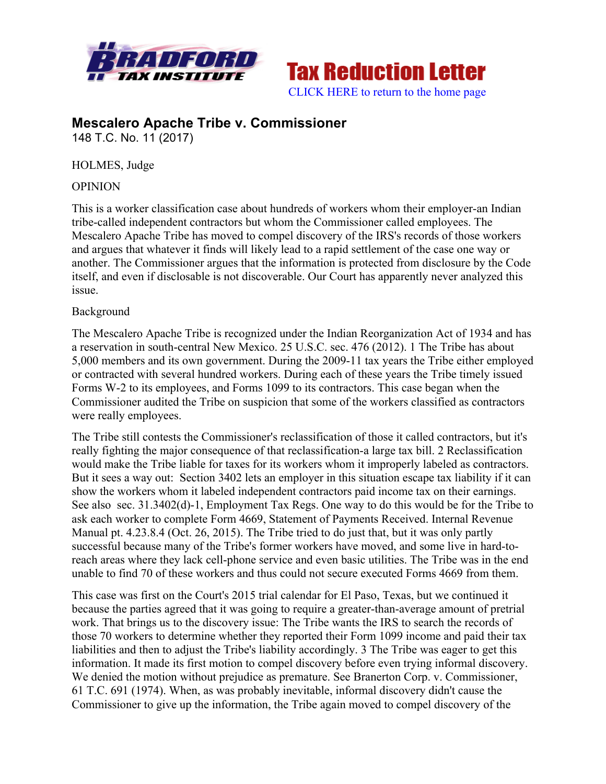



# **Mescalero Apache Tribe v. Commissioner**

148 T.C. No. 11 (2017)

HOLMES, Judge

#### **OPINION**

This is a worker classification case about hundreds of workers whom their employer-an Indian tribe-called independent contractors but whom the Commissioner called employees. The Mescalero Apache Tribe has moved to compel discovery of the IRS's records of those workers and argues that whatever it finds will likely lead to a rapid settlement of the case one way or another. The Commissioner argues that the information is protected from disclosure by the Code itself, and even if disclosable is not discoverable. Our Court has apparently never analyzed this issue.

#### Background

The Mescalero Apache Tribe is recognized under the Indian Reorganization Act of 1934 and has a reservation in south-central New Mexico. 25 U.S.C. sec. 476 (2012). 1 The Tribe has about 5,000 members and its own government. During the 2009-11 tax years the Tribe either employed or contracted with several hundred workers. During each of these years the Tribe timely issued Forms W-2 to its employees, and Forms 1099 to its contractors. This case began when the Commissioner audited the Tribe on suspicion that some of the workers classified as contractors were really employees.

The Tribe still contests the Commissioner's reclassification of those it called contractors, but it's really fighting the major consequence of that reclassification-a large tax bill. 2 Reclassification would make the Tribe liable for taxes for its workers whom it improperly labeled as contractors. But it sees a way out: Section 3402 lets an employer in this situation escape tax liability if it can show the workers whom it labeled independent contractors paid income tax on their earnings. See also sec. 31.3402(d)-1, Employment Tax Regs. One way to do this would be for the Tribe to ask each worker to complete Form 4669, Statement of Payments Received. Internal Revenue Manual pt. 4.23.8.4 (Oct. 26, 2015). The Tribe tried to do just that, but it was only partly successful because many of the Tribe's former workers have moved, and some live in hard-toreach areas where they lack cell-phone service and even basic utilities. The Tribe was in the end unable to find 70 of these workers and thus could not secure executed Forms 4669 from them.

This case was first on the Court's 2015 trial calendar for El Paso, Texas, but we continued it because the parties agreed that it was going to require a greater-than-average amount of pretrial work. That brings us to the discovery issue: The Tribe wants the IRS to search the records of those 70 workers to determine whether they reported their Form 1099 income and paid their tax liabilities and then to adjust the Tribe's liability accordingly. 3 The Tribe was eager to get this information. It made its first motion to compel discovery before even trying informal discovery. We denied the motion without prejudice as premature. See Branerton Corp. v. Commissioner, 61 T.C. 691 (1974). When, as was probably inevitable, informal discovery didn't cause the Commissioner to give up the information, the Tribe again moved to compel discovery of the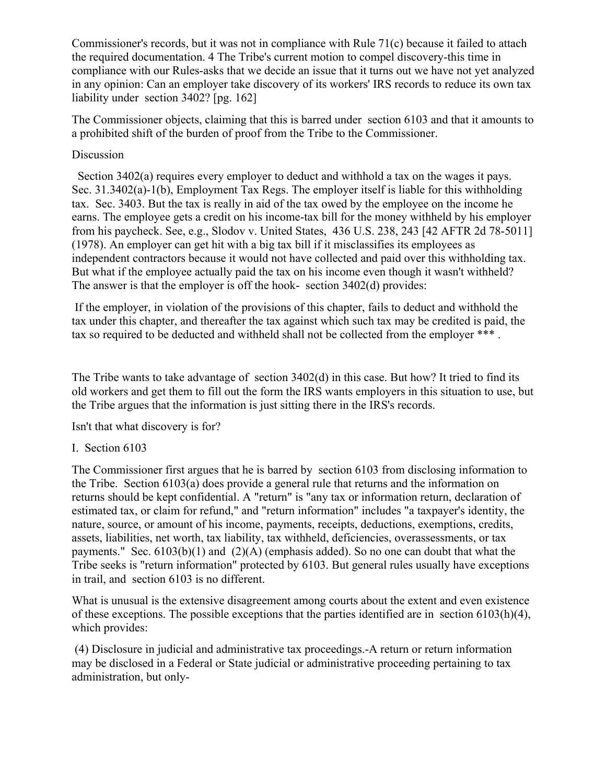Commissioner's records, but it was not in compliance with Rule 71(c) because it failed to attach the required documentation. 4 The Tribe's current motion to compel discovery-this time in compliance with our Rules-asks that we decide an issue that it turns out we have not yet analyzed in any opinion: Can an employer take discovery of its workers' IRS records to reduce its own tax liability under section 3402? [pg. 162]

The Commissioner objects, claiming that this is barred under section 6103 and that it amounts to a prohibited shift of the burden of proof from the Tribe to the Commissioner.

#### Discussion

 Section 3402(a) requires every employer to deduct and withhold a tax on the wages it pays. Sec. 31.3402(a)-1(b), Employment Tax Regs. The employer itself is liable for this withholding tax. Sec. 3403. But the tax is really in aid of the tax owed by the employee on the income he earns. The employee gets a credit on his income-tax bill for the money withheld by his employer from his paycheck. See, e.g., Slodov v. United States, 436 U.S. 238, 243 [42 AFTR 2d 78-5011] (1978). An employer can get hit with a big tax bill if it misclassifies its employees as independent contractors because it would not have collected and paid over this withholding tax. But what if the employee actually paid the tax on his income even though it wasn't withheld? The answer is that the employer is off the hook- section 3402(d) provides:

If the employer, in violation of the provisions of this chapter, fails to deduct and withhold the tax under this chapter, and thereafter the tax against which such tax may be credited is paid, the tax so required to be deducted and withheld shall not be collected from the employer \*\*\*.

The Tribe wants to take advantage of section 3402(d) in this case. But how? It tried to find its old workers and get them to fill out the form the IRS wants employers in this situation to use, but the Tribe argues that the information is just sitting there in the IRS's records.

Isn't that what discovery is for?

### I. Section 6103

The Commissioner first argues that he is barred by section 6103 from disclosing information to the Tribe. Section 6103(a) does provide a general rule that returns and the information on returns should be kept confidential. A "return" is "any tax or information return, declaration of estimated tax, or claim for refund," and "return information" includes "a taxpayer's identity, the nature, source, or amount of his income, payments, receipts, deductions, exemptions, credits, assets, liabilities, net worth, tax liability, tax withheld, deficiencies, overassessments, or tax payments." Sec. 6103(b)(1) and (2)(A) (emphasis added). So no one can doubt that what the Tribe seeks is "return information" protected by 6103. But general rules usually have exceptions in trail, and section 6103 is no different.

What is unusual is the extensive disagreement among courts about the extent and even existence of these exceptions. The possible exceptions that the parties identified are in section 6103(h)(4), which provides:

(4) Disclosure in judicial and administrative tax proceedings.-A return or return information may be disclosed in a Federal or State judicial or administrative proceeding pertaining to tax administration, but only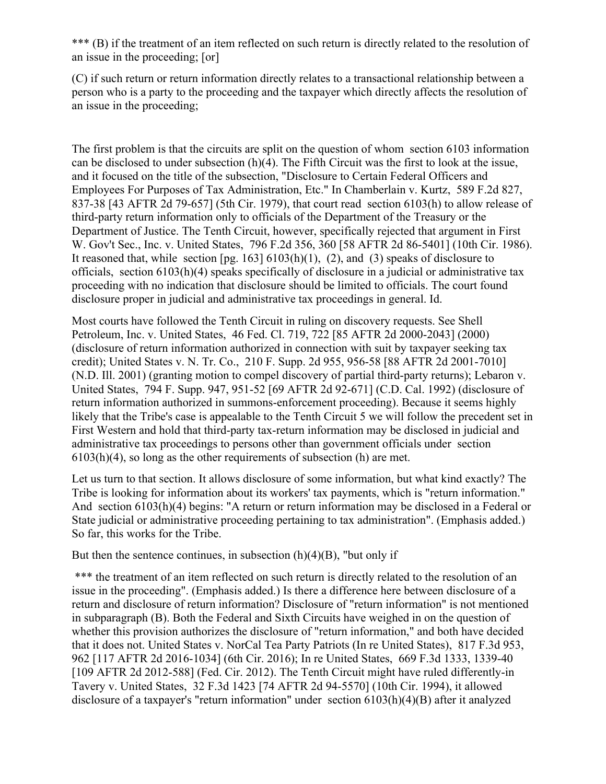\*\*\* (B) if the treatment of an item reflected on such return is directly related to the resolution of an issue in the proceeding; [or]

(C) if such return or return information directly relates to a transactional relationship between a person who is a party to the proceeding and the taxpayer which directly affects the resolution of an issue in the proceeding;

The first problem is that the circuits are split on the question of whom section 6103 information can be disclosed to under subsection (h)(4). The Fifth Circuit was the first to look at the issue, and it focused on the title of the subsection, "Disclosure to Certain Federal Officers and Employees For Purposes of Tax Administration, Etc." In Chamberlain v. Kurtz, 589 F.2d 827, 837-38 [43 AFTR 2d 79-657] (5th Cir. 1979), that court read section 6103(h) to allow release of third-party return information only to officials of the Department of the Treasury or the Department of Justice. The Tenth Circuit, however, specifically rejected that argument in First W. Gov't Sec., Inc. v. United States, 796 F.2d 356, 360 [58 AFTR 2d 86-5401] (10th Cir. 1986). It reasoned that, while section  $[pg. 163] 6103(h)(1)$ , (2), and (3) speaks of disclosure to officials, section 6103(h)(4) speaks specifically of disclosure in a judicial or administrative tax proceeding with no indication that disclosure should be limited to officials. The court found disclosure proper in judicial and administrative tax proceedings in general. Id.

Most courts have followed the Tenth Circuit in ruling on discovery requests. See Shell Petroleum, Inc. v. United States, 46 Fed. Cl. 719, 722 [85 AFTR 2d 2000-2043] (2000) (disclosure of return information authorized in connection with suit by taxpayer seeking tax credit); United States v. N. Tr. Co., 210 F. Supp. 2d 955, 956-58 [88 AFTR 2d 2001-7010] (N.D. Ill. 2001) (granting motion to compel discovery of partial third-party returns); Lebaron v. United States, 794 F. Supp. 947, 951-52 [69 AFTR 2d 92-671] (C.D. Cal. 1992) (disclosure of return information authorized in summons-enforcement proceeding). Because it seems highly likely that the Tribe's case is appealable to the Tenth Circuit 5 we will follow the precedent set in First Western and hold that third-party tax-return information may be disclosed in judicial and administrative tax proceedings to persons other than government officials under section 6103(h)(4), so long as the other requirements of subsection (h) are met.

Let us turn to that section. It allows disclosure of some information, but what kind exactly? The Tribe is looking for information about its workers' tax payments, which is "return information." And section 6103(h)(4) begins: "A return or return information may be disclosed in a Federal or State judicial or administrative proceeding pertaining to tax administration". (Emphasis added.) So far, this works for the Tribe.

But then the sentence continues, in subsection  $(h)(4)(B)$ , "but only if

\*\*\* the treatment of an item reflected on such return is directly related to the resolution of an issue in the proceeding". (Emphasis added.) Is there a difference here between disclosure of a return and disclosure of return information? Disclosure of "return information" is not mentioned in subparagraph (B). Both the Federal and Sixth Circuits have weighed in on the question of whether this provision authorizes the disclosure of "return information," and both have decided that it does not. United States v. NorCal Tea Party Patriots (In re United States), 817 F.3d 953, 962 [117 AFTR 2d 2016-1034] (6th Cir. 2016); In re United States, 669 F.3d 1333, 1339-40 [109 AFTR 2d 2012-588] (Fed. Cir. 2012). The Tenth Circuit might have ruled differently-in Tavery v. United States, 32 F.3d 1423 [74 AFTR 2d 94-5570] (10th Cir. 1994), it allowed disclosure of a taxpayer's "return information" under section 6103(h)(4)(B) after it analyzed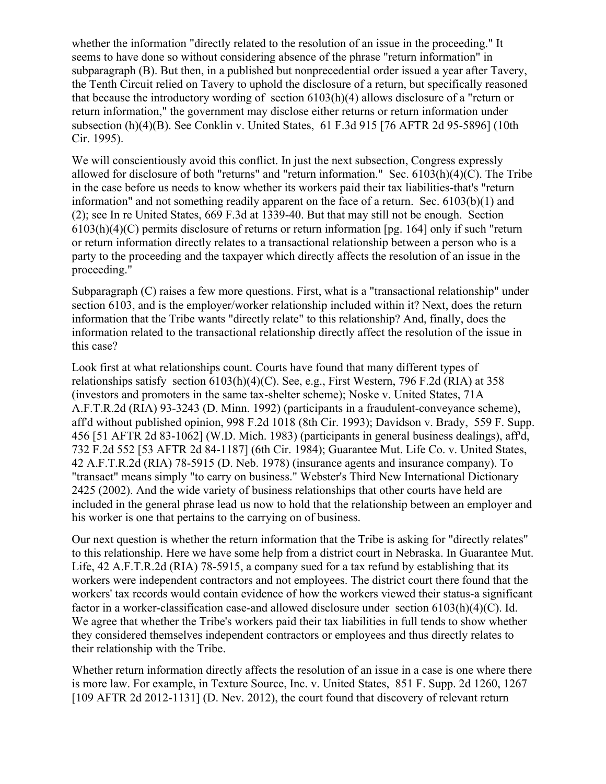whether the information "directly related to the resolution of an issue in the proceeding." It seems to have done so without considering absence of the phrase "return information" in subparagraph (B). But then, in a published but nonprecedential order issued a year after Tavery, the Tenth Circuit relied on Tavery to uphold the disclosure of a return, but specifically reasoned that because the introductory wording of section 6103(h)(4) allows disclosure of a "return or return information," the government may disclose either returns or return information under subsection (h)(4)(B). See Conklin v. United States, 61 F.3d 915 [76 AFTR 2d 95-5896] (10th Cir. 1995).

We will conscientiously avoid this conflict. In just the next subsection, Congress expressly allowed for disclosure of both "returns" and "return information." Sec. 6103(h)(4)(C). The Tribe in the case before us needs to know whether its workers paid their tax liabilities-that's "return information" and not something readily apparent on the face of a return. Sec. 6103(b)(1) and (2); see In re United States, 669 F.3d at 1339-40. But that may still not be enough. Section 6103(h)(4)(C) permits disclosure of returns or return information [pg. 164] only if such "return or return information directly relates to a transactional relationship between a person who is a party to the proceeding and the taxpayer which directly affects the resolution of an issue in the proceeding."

Subparagraph (C) raises a few more questions. First, what is a "transactional relationship" under section 6103, and is the employer/worker relationship included within it? Next, does the return information that the Tribe wants "directly relate" to this relationship? And, finally, does the information related to the transactional relationship directly affect the resolution of the issue in this case?

Look first at what relationships count. Courts have found that many different types of relationships satisfy section 6103(h)(4)(C). See, e.g., First Western, 796 F.2d (RIA) at 358 (investors and promoters in the same tax-shelter scheme); Noske v. United States, 71A A.F.T.R.2d (RIA) 93-3243 (D. Minn. 1992) (participants in a fraudulent-conveyance scheme), aff'd without published opinion, 998 F.2d 1018 (8th Cir. 1993); Davidson v. Brady, 559 F. Supp. 456 [51 AFTR 2d 83-1062] (W.D. Mich. 1983) (participants in general business dealings), aff'd, 732 F.2d 552 [53 AFTR 2d 84-1187] (6th Cir. 1984); Guarantee Mut. Life Co. v. United States, 42 A.F.T.R.2d (RIA) 78-5915 (D. Neb. 1978) (insurance agents and insurance company). To "transact" means simply "to carry on business." Webster's Third New International Dictionary 2425 (2002). And the wide variety of business relationships that other courts have held are included in the general phrase lead us now to hold that the relationship between an employer and his worker is one that pertains to the carrying on of business.

Our next question is whether the return information that the Tribe is asking for "directly relates" to this relationship. Here we have some help from a district court in Nebraska. In Guarantee Mut. Life, 42 A.F.T.R.2d (RIA) 78-5915, a company sued for a tax refund by establishing that its workers were independent contractors and not employees. The district court there found that the workers' tax records would contain evidence of how the workers viewed their status-a significant factor in a worker-classification case-and allowed disclosure under section 6103(h)(4)(C). Id. We agree that whether the Tribe's workers paid their tax liabilities in full tends to show whether they considered themselves independent contractors or employees and thus directly relates to their relationship with the Tribe.

Whether return information directly affects the resolution of an issue in a case is one where there is more law. For example, in Texture Source, Inc. v. United States, 851 F. Supp. 2d 1260, 1267 [109 AFTR 2d 2012-1131] (D. Nev. 2012), the court found that discovery of relevant return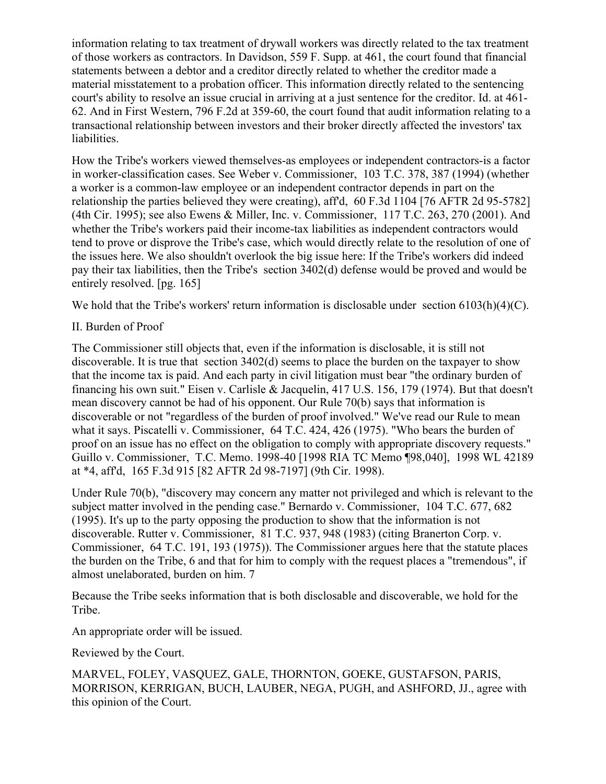information relating to tax treatment of drywall workers was directly related to the tax treatment of those workers as contractors. In Davidson, 559 F. Supp. at 461, the court found that financial statements between a debtor and a creditor directly related to whether the creditor made a material misstatement to a probation officer. This information directly related to the sentencing court's ability to resolve an issue crucial in arriving at a just sentence for the creditor. Id. at 461- 62. And in First Western, 796 F.2d at 359-60, the court found that audit information relating to a transactional relationship between investors and their broker directly affected the investors' tax liabilities.

How the Tribe's workers viewed themselves-as employees or independent contractors-is a factor in worker-classification cases. See Weber v. Commissioner, 103 T.C. 378, 387 (1994) (whether a worker is a common-law employee or an independent contractor depends in part on the relationship the parties believed they were creating), aff'd, 60 F.3d 1104 [76 AFTR 2d 95-5782] (4th Cir. 1995); see also Ewens & Miller, Inc. v. Commissioner, 117 T.C. 263, 270 (2001). And whether the Tribe's workers paid their income-tax liabilities as independent contractors would tend to prove or disprove the Tribe's case, which would directly relate to the resolution of one of the issues here. We also shouldn't overlook the big issue here: If the Tribe's workers did indeed pay their tax liabilities, then the Tribe's section 3402(d) defense would be proved and would be entirely resolved. [pg. 165]

We hold that the Tribe's workers' return information is disclosable under section 6103(h)(4)(C).

## II. Burden of Proof

The Commissioner still objects that, even if the information is disclosable, it is still not discoverable. It is true that section 3402(d) seems to place the burden on the taxpayer to show that the income tax is paid. And each party in civil litigation must bear "the ordinary burden of financing his own suit." Eisen v. Carlisle & Jacquelin, 417 U.S. 156, 179 (1974). But that doesn't mean discovery cannot be had of his opponent. Our Rule 70(b) says that information is discoverable or not "regardless of the burden of proof involved." We've read our Rule to mean what it says. Piscatelli v. Commissioner, 64 T.C. 424, 426 (1975). "Who bears the burden of proof on an issue has no effect on the obligation to comply with appropriate discovery requests." Guillo v. Commissioner, T.C. Memo. 1998-40 [1998 RIA TC Memo ¶98,040], 1998 WL 42189 at \*4, aff'd, 165 F.3d 915 [82 AFTR 2d 98-7197] (9th Cir. 1998).

Under Rule 70(b), "discovery may concern any matter not privileged and which is relevant to the subject matter involved in the pending case." Bernardo v. Commissioner, 104 T.C. 677, 682 (1995). It's up to the party opposing the production to show that the information is not discoverable. Rutter v. Commissioner, 81 T.C. 937, 948 (1983) (citing Branerton Corp. v. Commissioner, 64 T.C. 191, 193 (1975)). The Commissioner argues here that the statute places the burden on the Tribe, 6 and that for him to comply with the request places a "tremendous", if almost unelaborated, burden on him. 7

Because the Tribe seeks information that is both disclosable and discoverable, we hold for the Tribe.

An appropriate order will be issued.

Reviewed by the Court.

MARVEL, FOLEY, VASQUEZ, GALE, THORNTON, GOEKE, GUSTAFSON, PARIS, MORRISON, KERRIGAN, BUCH, LAUBER, NEGA, PUGH, and ASHFORD, JJ., agree with this opinion of the Court.